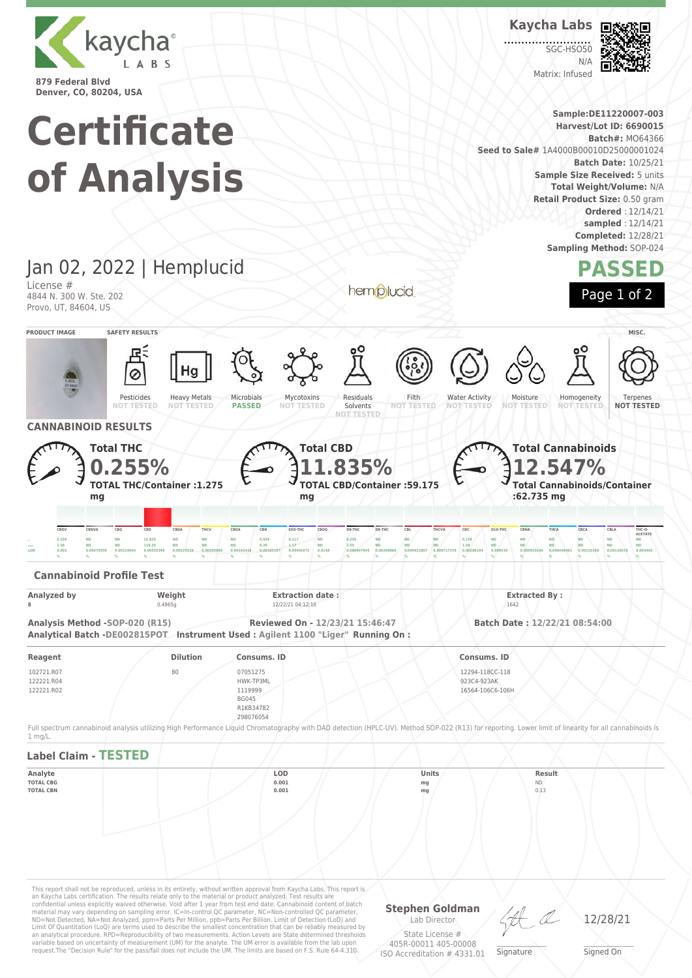

**Kaycha Labs**

SGC-HSO50  $N/L$ Matrix: Infused



**Sample:DE11220007-003 Harvest/Lot ID: 6690015 Batch#:** MO64366

**Sample Size Received: 5 units Total Weight/Volume:** N/A **Retail Product Size:** 0.50 gram

**Batch Date:** 10/25/21

**Ordered** : 12/14/21 **sampled** : 12/14/21 **Completed:** 12/28/21 **Sampling Method:** SOP-024

**PASSED**

Page 1 of 2

Terpenes **NOT TESTED**

Homogeneity **NOT** 

**Certificate Seed to Sale#** 1A4000B00010D25000001024 **of Analysis** Jan 02, 2022 | Hemplucid License # hemplucid 4844 N. 300 W. Ste. 202 Provo, UT, 84604, US **PRODUCT IMAGE SAFETY RESULTS MISC.** Pesticides Heavy Metals Microbials Mycotoxins Residuals Filth<br>NOT TES Water Activity Moisture **NOT TESTED NOT TESTED NOT TESTED PASSED NOT TESTED** Solvents **NOT TESTED NOT TESTED NOT TESTED**

**CANNABINOID RESULTS**

**Total THC 0.255% TOTAL THC/Container :1.275 mg Total CBD 11.835% TOTAL CBD/Container :59.175 mg Total Cannabinoids 12.547% Total Cannabinoids/Container :62.735 mg** CBDV CBDVA CBG CBD CBDA THCV CBGA CBN EXO-THC CBDQ D9-THC D8-THC CBL THCVA CBC D10-THC CBNA THCA CBCA CBLA THC-O **ACETATE**  $_{\rm N}$  0.156 ND ND 11.835 ND ND ND 0.026 0.117 ND 0.255 ND ND ND 0.158 ND ND ND ND ND ND ND ND <sub>====</sub> 1.56 ND ND 118.35 ND ND ND 0.26 1.17 ND 2.55 ND ND ND 1.58 ND ND ND ND ND ND ND ND  $\,$  0.001  $\,$  0.00070559 0.00219044 0.00333396 0.00125116 0.00205806 0.00192419 0.00183167 0.00401072 0.0148 0.000847945 0.000847945 0.000921807 0.0009717378 0.00268194 0.0005344 0.000910194 0.000458461 0.0021199 0.0014 **% % % % % % % % % % % % % % % % % % % % % Cannabinoid Profile Test Analyzed by Weight Extraction date : Extracted By : 8** 0.4965g 12/22/21 04:12:10 1642 **Analysis Method -SOP-020 (R15) Reviewed On - 12/23/21 15:46:47 Batch Date : 12/22/21 08:54:00 Analytical Batch -DE002815POT Instrument Used : Agilent 1100 "Liger" Running On : Reagent Dilution Consums. ID Consums. ID** 102721.R07 122221.R04 122221.R02 07051275 HWK-TP3ML 1119999 12294-118CC-118 923C4-923AK 16564-106C6-106H

BG045 R1KB34782 298076054

request.The "Decision Rule" for the pass/fail does not include the UM. The limits are based on F.S. Rule 64-4.310.

ISO Accreditation # 4331.01

Full spectrum cannabinoid analysis utilizing High Performance Liquid Chromatography with DAD detection (HPLC-UV). Method SOP-022 (R13) for reporting. Lower limit of linearity for all cannabinoids is 1 mg/L.



Signed On

 $\_\_\_\_\_\_\_\_\_\_\_\_\_\_$ **Signature**